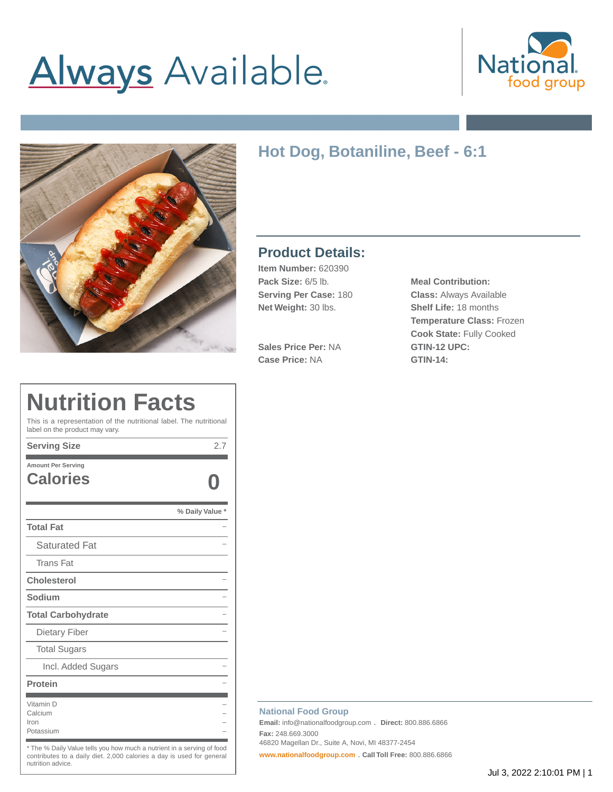# **Always** Available.





# **Hot Dog, Botaniline, Beef - 6:1**

### **Product Details:**

**Item Number:** 620390 **Pack Size:** 6/5 lb. **Meal Contribution: Net Weight:** 30 lbs. **Shelf Life:** 18 months

**Sales Price Per:** NA **GTIN-12 UPC: Case Price:** NA **GTIN-14:**

**Serving Per Case:** 180 **Class:** Always Available **Temperature Class:** Frozen **Cook State:** Fully Cooked

# **Nutrition Facts**

This is a representation of the nutritional label. The nutritional label on the product may vary.

| <b>Serving Size</b>                          | 2.7             |
|----------------------------------------------|-----------------|
| <b>Amount Per Serving</b><br><b>Calories</b> |                 |
|                                              | % Daily Value * |
| <b>Total Fat</b>                             |                 |
| <b>Saturated Fat</b>                         |                 |
| <b>Trans Fat</b>                             |                 |
| <b>Cholesterol</b>                           |                 |
| Sodium                                       |                 |
| <b>Total Carbohydrate</b>                    |                 |
| Dietary Fiber                                |                 |
| <b>Total Sugars</b>                          |                 |
| Incl. Added Sugars                           |                 |
| Protein                                      |                 |
| Vitamin D<br>Calcium<br>Iron<br>Potassium    |                 |

The % Daily Value tells you how much a nutrient in a serving of food contributes to a daily diet. 2,000 calories a day is used for general nutrition advice.

#### **National Food Group**

**Email:** info@nationalfoodgroup.com . **Direct:** 800.886.6866 **Fax:** 248.669.3000 46820 Magellan Dr., Suite A, Novi, MI 48377-2454

**[www.nationalfoodgroup.com](https://3450792.app.netsuite.com/www.nationalfoodgroup.com)** . **Call Toll Free:** 800.886.6866